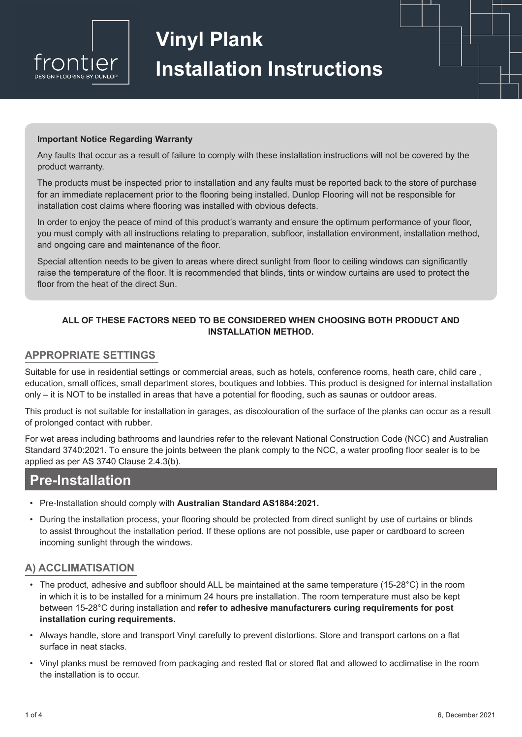

# **Vinyl Plank Installation Instructions**

#### **Important Notice Regarding Warranty**

Any faults that occur as a result of failure to comply with these installation instructions will not be covered by the product warranty.

The products must be inspected prior to installation and any faults must be reported back to the store of purchase for an immediate replacement prior to the flooring being installed. Dunlop Flooring will not be responsible for installation cost claims where flooring was installed with obvious defects.

In order to enjoy the peace of mind of this product's warranty and ensure the optimum performance of your floor, you must comply with all instructions relating to preparation, subfloor, installation environment, installation method, and ongoing care and maintenance of the floor.

Special attention needs to be given to areas where direct sunlight from floor to ceiling windows can significantly raise the temperature of the floor. It is recommended that blinds, tints or window curtains are used to protect the floor from the heat of the direct Sun.

#### ALL OF THESE FACTORS NEED TO BE CONSIDERED WHEN CHOOSING BOTH PRODUCT AND **INSTALLATION METHOD.**

#### **APPROPRIATE SETTINGS**

Suitable for use in residential settings or commercial areas, such as hotels, conference rooms, heath care, child care, education, small offices, small department stores, boutiques and lobbies. This product is designed for internal installation only – it is NOT to be installed in areas that have a potential for flooding, such as saunas or outdoor areas.

This product is not suitable for installation in garages, as discolouration of the surface of the planks can occur as a result of prolonged contact with rubber.

For wet areas including bathrooms and laundries refer to the relevant National Construction Code (NCC) and Australian Standard 3740:2021. To ensure the joints between the plank comply to the NCC, a water proofing floor sealer is to be applied as per AS 3740 Clause 2.4.3(b).

# **Pre-Installation**

- Pre-Installation should comply with Australian Standard AS1884:2021.
- During the installation process, your flooring should be protected from direct sunlight by use of curtains or blinds to assist throughout the installation period. If these options are not possible, use paper or cardboard to screen incoming sunlight through the windows.

#### A) ACCLIMATISATION

- The product, adhesive and subfloor should ALL be maintained at the same temperature (15-28°C) in the room in which it is to be installed for a minimum 24 hours pre installation. The room temperature must also be kept between 15-28°C during installation and refer to adhesive manufacturers curing requirements for post installation curing requirements.
- Always handle, store and transport Vinyl carefully to prevent distortions. Store and transport cartons on a flat surface in neat stacks.
- Vinyl planks must be removed from packaging and rested flat or stored flat and allowed to acclimatise in the room the installation is to occur.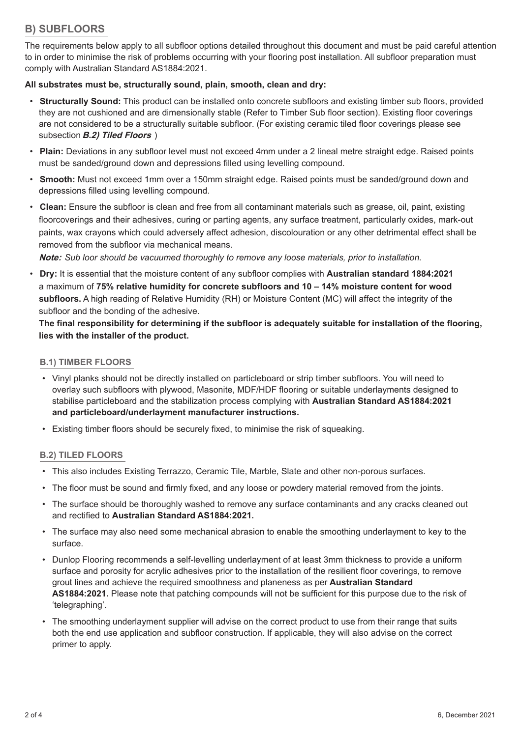## **B) SUBFLOORS**

The requirements below apply to all subfloor options detailed throughout this document and must be paid careful attention to in order to minimise the risk of problems occurring with your flooring post installation. All subfloor preparation must comply with Australian Standard AS1884:2021.

#### **All substrates must be, structurally sound, plain, smooth, clean and dry:**

- **Structurally Sound:** This product can be installed onto concrete subfloors and existing timber sub floors, provided they are not cushioned and are dimensionally stable (Refer to Timber Sub floor section). Existing floor coverings are not considered to be a structurally suitable subfloor. (For existing ceramic tiled floor coverings please see subsection **B.2) Tiled Floors**
- Plain: Deviations in any subfloor level must not exceed 4mm under a 2 lineal metre straight edge. Raised points must be sanded/ground down and depressions filled using levelling compound.
- Smooth: Must not exceed 1mm over a 150mm straight edge. Raised points must be sanded/ground down and depressions filled using levelling compound.
- Clean: Ensure the subfloor is clean and free from all contaminant materials such as grease, oil, paint, existing floorcoverings and their adhesives, curing or parting agents, any surface treatment, particularly oxides, mark-out paints, wax crayons which could adversely affect adhesion, discolouration or any other detrimental effect shall be removed from the subfloor via mechanical means.

**Note:** Sub loor should be vacuumed thoroughly to remove any loose materials, prior to installation.

**Dry:** It is essential that the moisture content of any subfloor complies with **Australian standard 1884:2021** a maximum of 75% relative humidity for concrete subfloors and 10 - 14% moisture content for wood subfloors. A high reading of Relative Humidity (RH) or Moisture Content (MC) will affect the integrity of the subfloor and the bonding of the adhesive.

The final responsibility for determining if the subfloor is adequately suitable for installation of the flooring, **lies with the installer of the product.** 

#### **%1) TIMBER FLOORS**

- Vinyl planks should not be directly installed on particleboard or strip timber subfloors. You will need to overlay such subfloors with plywood, Masonite, MDF/HDF flooring or suitable underlayments designed to stabilise particleboard and the stabilization process complying with Australian Standard AS1884:2021 **and particleboard/underlayment manufacturer instructions.**
- Existing timber floors should be securely fixed, to minimise the risk of squeaking.

#### **B.2) TILED FLOORS**

- This also includes Existing Terrazzo, Ceramic Tile, Marble, Slate and other non-porous surfaces.
- The floor must be sound and firmly fixed, and any loose or powdery material removed from the joints.
- The surface should be thoroughly washed to remove any surface contaminants and any cracks cleaned out and rectified to **Australian Standard AS1884:2021.**
- The surface may also need some mechanical abrasion to enable the smoothing underlayment to key to the surface.
- Dunlop Flooring recommends a self-levelling underlayment of at least 3mm thickness to provide a uniform surface and porosity for acrylic adhesives prior to the installation of the resilient floor coverings, to remove grout lines and achieve the required smoothness and planeness as per **Australian Standard** AS1884:2021. Please note that patching compounds will not be sufficient for this purpose due to the risk of 'telegraphing'.
- The smoothing underlayment supplier will advise on the correct product to use from their range that suits both the end use application and subfloor construction. If applicable, they will also advise on the correct primer to apply.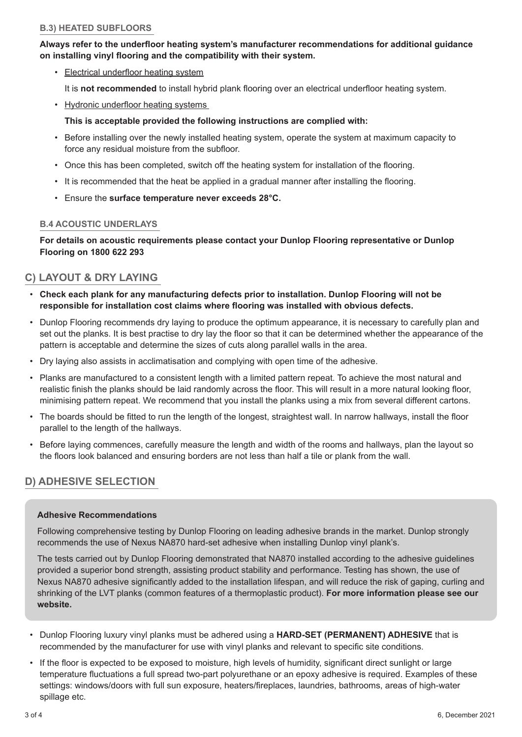#### **B.3) HEATED SUBFLOORS**

#### Always refer to the underfloor heating system's manufacturer recommendations for additional quidance on installing vinyl flooring and the compatibility with their system.

- Electrical underfloor heating system It is **not recommended** to install hybrid plank flooring over an electrical underfloor heating system.
- Hydronic underfloor heating systems
	- This is acceptable provided the following instructions are complied with:
- Before installing over the newly installed heating system, operate the system at maximum capacity to force any residual moisture from the subfloor.
- Once this has been completed, switch off the heating system for installation of the flooring.
- It is recommended that the heat be applied in a gradual manner after installing the flooring.
- Ensure the surface temperature never exceeds 28°C.

#### **B.4 ACOUSTIC UNDERLAYS**

**For details on acoustic requirements please contact your Dunlop Flooring representative or Dunlop Flooring on 1800 622 293** 

### **C) LAYOUT & DRY LAYING**

- Check each plank for any manufacturing defects prior to installation. Dunlop Flooring will not be responsible for installation cost claims where flooring was installed with obvious defects.
- Dunlop Flooring recommends dry laying to produce the optimum appearance, it is necessary to carefully plan and set out the planks. It is best practise to dry lay the floor so that it can be determined whether the appearance of the pattern is acceptable and determine the sizes of cuts along parallel walls in the area.
- Dry laving also assists in acclimatisation and complying with open time of the adhesive.
- Planks are manufactured to a consistent length with a limited pattern repeat. To achieve the most natural and realistic finish the planks should be laid randomly across the floor. This will result in a more natural looking floor, minimising pattern repeat. We recommend that you install the planks using a mix from several different cartons.
- The boards should be fitted to run the length of the longest, straightest wall. In narrow hallways, install the floor parallel to the length of the hallways.
- Before laying commences, carefully measure the length and width of the rooms and hallways, plan the layout so the floors look balanced and ensuring borders are not less than half a tile or plank from the wall.

## **D) ADHESIVE SELECTION**

#### **Adhesive Recommendations**

Following comprehensive testing by Dunlop Flooring on leading adhesive brands in the market. Dunlop strongly recommends the use of Nexus NA870 hard-set adhesive when installing Dunlop vinyl plank's.

The tests carried out by Dunlop Flooring demonstrated that NA870 installed according to the adhesive guidelines provided a superior bond strength, assisting product stability and performance. Testing has shown, the use of Nexus NA870 adhesive significantly added to the installation lifespan, and will reduce the risk of gaping, curling and shrinking of the LVT planks (common features of a thermoplastic product). For more information please see our website.

- Dunlop Flooring luxury vinyl planks must be adhered using a **HARD-SET (PERMANENT) ADHESIVE** that is recommended by the manufacturer for use with vinyl planks and relevant to specific site conditions.
- If the floor is expected to be exposed to moisture, high levels of humidity, significant direct sunlight or large temperature fluctuations a full spread two-part polyurethane or an epoxy adhesive is required. Examples of these settings; windows/doors with full sun exposure, heaters/fireplaces, laundries, bathrooms, areas of high-water spillage etc.